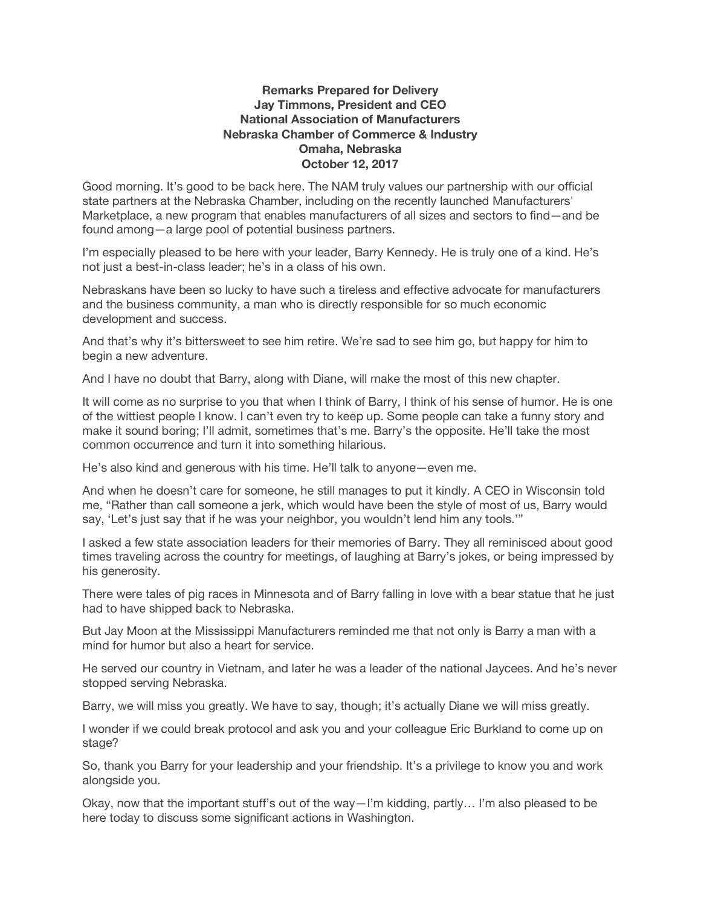## **Remarks Prepared for Delivery Jay Timmons, President and CEO National Association of Manufacturers Nebraska Chamber of Commerce & Industry Omaha, Nebraska October 12, 2017**

Good morning. It's good to be back here. The NAM truly values our partnership with our official state partners at the Nebraska Chamber, including on the recently launched Manufacturers' Marketplace, a new program that enables manufacturers of all sizes and sectors to find—and be found among—a large pool of potential business partners.

I'm especially pleased to be here with your leader, Barry Kennedy. He is truly one of a kind. He's not just a best-in-class leader; he's in a class of his own.

Nebraskans have been so lucky to have such a tireless and effective advocate for manufacturers and the business community, a man who is directly responsible for so much economic development and success.

And that's why it's bittersweet to see him retire. We're sad to see him go, but happy for him to begin a new adventure.

And I have no doubt that Barry, along with Diane, will make the most of this new chapter.

It will come as no surprise to you that when I think of Barry, I think of his sense of humor. He is one of the wittiest people I know. I can't even try to keep up. Some people can take a funny story and make it sound boring; I'll admit, sometimes that's me. Barry's the opposite. He'll take the most common occurrence and turn it into something hilarious.

He's also kind and generous with his time. He'll talk to anyone—even me.

And when he doesn't care for someone, he still manages to put it kindly. A CEO in Wisconsin told me, "Rather than call someone a jerk, which would have been the style of most of us, Barry would say, 'Let's just say that if he was your neighbor, you wouldn't lend him any tools.'"

I asked a few state association leaders for their memories of Barry. They all reminisced about good times traveling across the country for meetings, of laughing at Barry's jokes, or being impressed by his generosity.

There were tales of pig races in Minnesota and of Barry falling in love with a bear statue that he just had to have shipped back to Nebraska.

But Jay Moon at the Mississippi Manufacturers reminded me that not only is Barry a man with a mind for humor but also a heart for service.

He served our country in Vietnam, and later he was a leader of the national Jaycees. And he's never stopped serving Nebraska.

Barry, we will miss you greatly. We have to say, though; it's actually Diane we will miss greatly.

I wonder if we could break protocol and ask you and your colleague Eric Burkland to come up on stage?

So, thank you Barry for your leadership and your friendship. It's a privilege to know you and work alongside you.

Okay, now that the important stuff's out of the way—I'm kidding, partly… I'm also pleased to be here today to discuss some significant actions in Washington.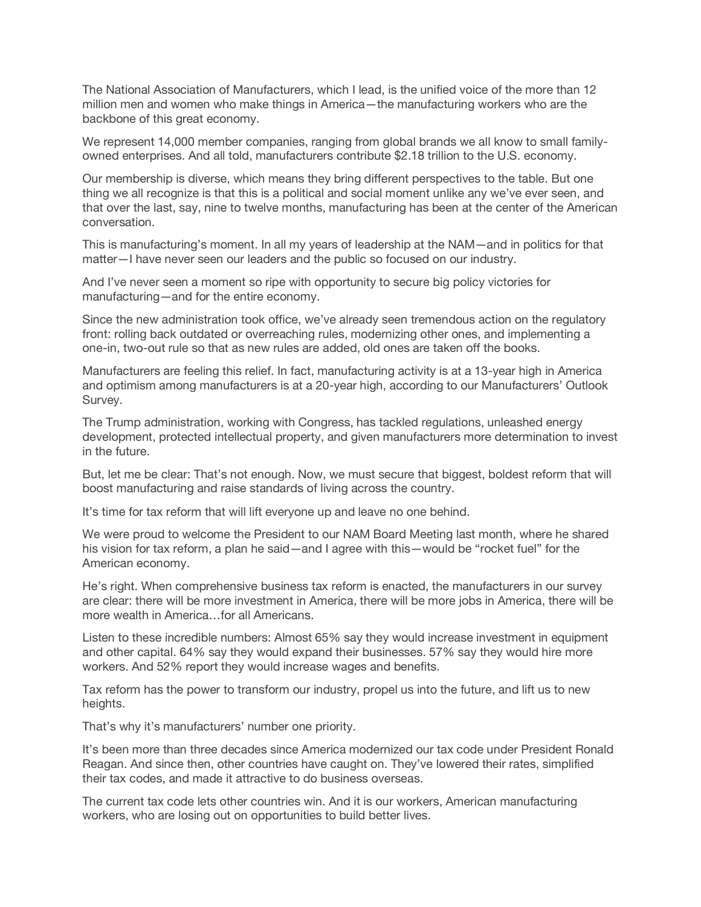The National Association of Manufacturers, which I lead, is the unified voice of the more than 12 million men and women who make things in America—the manufacturing workers who are the backbone of this great economy.

We represent 14,000 member companies, ranging from global brands we all know to small familyowned enterprises. And all told, manufacturers contribute \$2.18 trillion to the U.S. economy.

Our membership is diverse, which means they bring different perspectives to the table. But one thing we all recognize is that this is a political and social moment unlike any we've ever seen, and that over the last, say, nine to twelve months, manufacturing has been at the center of the American conversation.

This is manufacturing's moment. In all my years of leadership at the NAM—and in politics for that matter—I have never seen our leaders and the public so focused on our industry.

And I've never seen a moment so ripe with opportunity to secure big policy victories for manufacturing—and for the entire economy.

Since the new administration took office, we've already seen tremendous action on the regulatory front: rolling back outdated or overreaching rules, modernizing other ones, and implementing a one-in, two-out rule so that as new rules are added, old ones are taken off the books.

Manufacturers are feeling this relief. In fact, manufacturing activity is at a 13-year high in America and optimism among manufacturers is at a 20-year high, according to our Manufacturers' Outlook Survey.

The Trump administration, working with Congress, has tackled regulations, unleashed energy development, protected intellectual property, and given manufacturers more determination to invest in the future.

But, let me be clear: That's not enough. Now, we must secure that biggest, boldest reform that will boost manufacturing and raise standards of living across the country.

It's time for tax reform that will lift everyone up and leave no one behind.

We were proud to welcome the President to our NAM Board Meeting last month, where he shared his vision for tax reform, a plan he said—and I agree with this—would be "rocket fuel" for the American economy.

He's right. When comprehensive business tax reform is enacted, the manufacturers in our survey are clear: there will be more investment in America, there will be more jobs in America, there will be more wealth in America…for all Americans.

Listen to these incredible numbers: Almost 65% say they would increase investment in equipment and other capital. 64% say they would expand their businesses. 57% say they would hire more workers. And 52% report they would increase wages and benefits.

Tax reform has the power to transform our industry, propel us into the future, and lift us to new heights.

That's why it's manufacturers' number one priority.

It's been more than three decades since America modernized our tax code under President Ronald Reagan. And since then, other countries have caught on. They've lowered their rates, simplified their tax codes, and made it attractive to do business overseas.

The current tax code lets other countries win. And it is our workers, American manufacturing workers, who are losing out on opportunities to build better lives.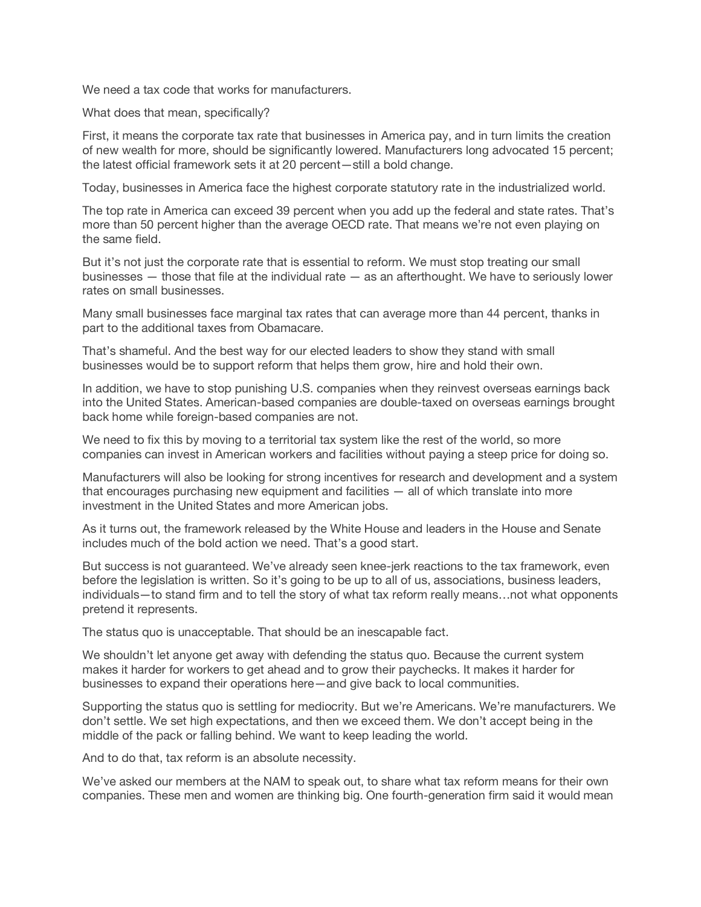We need a tax code that works for manufacturers.

What does that mean, specifically?

First, it means the corporate tax rate that businesses in America pay, and in turn limits the creation of new wealth for more, should be significantly lowered. Manufacturers long advocated 15 percent; the latest official framework sets it at 20 percent—still a bold change.

Today, businesses in America face the highest corporate statutory rate in the industrialized world.

The top rate in America can exceed 39 percent when you add up the federal and state rates. That's more than 50 percent higher than the average OECD rate. That means we're not even playing on the same field.

But it's not just the corporate rate that is essential to reform. We must stop treating our small businesses — those that file at the individual rate — as an afterthought. We have to seriously lower rates on small businesses.

Many small businesses face marginal tax rates that can average more than 44 percent, thanks in part to the additional taxes from Obamacare.

That's shameful. And the best way for our elected leaders to show they stand with small businesses would be to support reform that helps them grow, hire and hold their own.

In addition, we have to stop punishing U.S. companies when they reinvest overseas earnings back into the United States. American-based companies are double-taxed on overseas earnings brought back home while foreign-based companies are not.

We need to fix this by moving to a territorial tax system like the rest of the world, so more companies can invest in American workers and facilities without paying a steep price for doing so.

Manufacturers will also be looking for strong incentives for research and development and a system that encourages purchasing new equipment and facilities — all of which translate into more investment in the United States and more American jobs.

As it turns out, the framework released by the White House and leaders in the House and Senate includes much of the bold action we need. That's a good start.

But success is not guaranteed. We've already seen knee-jerk reactions to the tax framework, even before the legislation is written. So it's going to be up to all of us, associations, business leaders, individuals—to stand firm and to tell the story of what tax reform really means…not what opponents pretend it represents.

The status quo is unacceptable. That should be an inescapable fact.

We shouldn't let anyone get away with defending the status quo. Because the current system makes it harder for workers to get ahead and to grow their paychecks. It makes it harder for businesses to expand their operations here—and give back to local communities.

Supporting the status quo is settling for mediocrity. But we're Americans. We're manufacturers. We don't settle. We set high expectations, and then we exceed them. We don't accept being in the middle of the pack or falling behind. We want to keep leading the world.

And to do that, tax reform is an absolute necessity.

We've asked our members at the NAM to speak out, to share what tax reform means for their own companies. These men and women are thinking big. One fourth-generation firm said it would mean